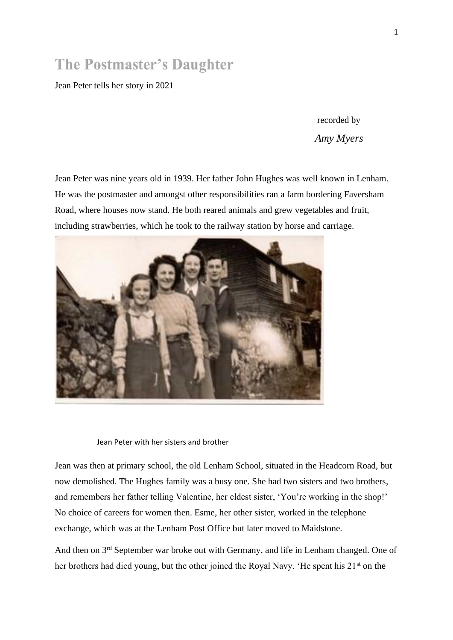## **The Postmaster's Daughter**

Jean Peter tells her story in 2021

recorded by *Amy Myers*

Jean Peter was nine years old in 1939. Her father John Hughes was well known in Lenham. He was the postmaster and amongst other responsibilities ran a farm bordering Faversham Road, where houses now stand. He both reared animals and grew vegetables and fruit, including strawberries, which he took to the railway station by horse and carriage.



Jean Peter with her sisters and brother

Jean was then at primary school, the old Lenham School, situated in the Headcorn Road, but now demolished. The Hughes family was a busy one. She had two sisters and two brothers, and remembers her father telling Valentine, her eldest sister, 'You're working in the shop!' No choice of careers for women then. Esme, her other sister, worked in the telephone exchange, which was at the Lenham Post Office but later moved to Maidstone.

And then on 3<sup>rd</sup> September war broke out with Germany, and life in Lenham changed. One of her brothers had died young, but the other joined the Royal Navy. 'He spent his 21<sup>st</sup> on the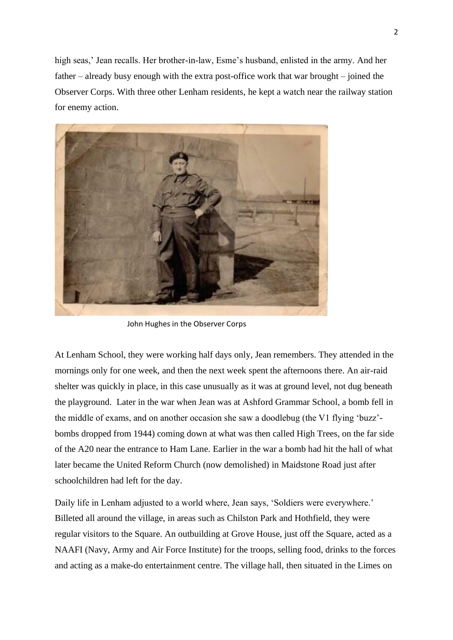high seas,' Jean recalls. Her brother-in-law, Esme's husband, enlisted in the army. And her father – already busy enough with the extra post-office work that war brought – joined the Observer Corps. With three other Lenham residents, he kept a watch near the railway station for enemy action.



John Hughes in the Observer Corps

At Lenham School, they were working half days only, Jean remembers. They attended in the mornings only for one week, and then the next week spent the afternoons there. An air-raid shelter was quickly in place, in this case unusually as it was at ground level, not dug beneath the playground. Later in the war when Jean was at Ashford Grammar School, a bomb fell in the middle of exams, and on another occasion she saw a doodlebug (the V1 flying 'buzz' bombs dropped from 1944) coming down at what was then called High Trees, on the far side of the A20 near the entrance to Ham Lane. Earlier in the war a bomb had hit the hall of what later became the United Reform Church (now demolished) in Maidstone Road just after schoolchildren had left for the day.

Daily life in Lenham adjusted to a world where, Jean says, 'Soldiers were everywhere.' Billeted all around the village, in areas such as Chilston Park and Hothfield, they were regular visitors to the Square. An outbuilding at Grove House, just off the Square, acted as a NAAFI (Navy, Army and Air Force Institute) for the troops, selling food, drinks to the forces and acting as a make-do entertainment centre. The village hall, then situated in the Limes on